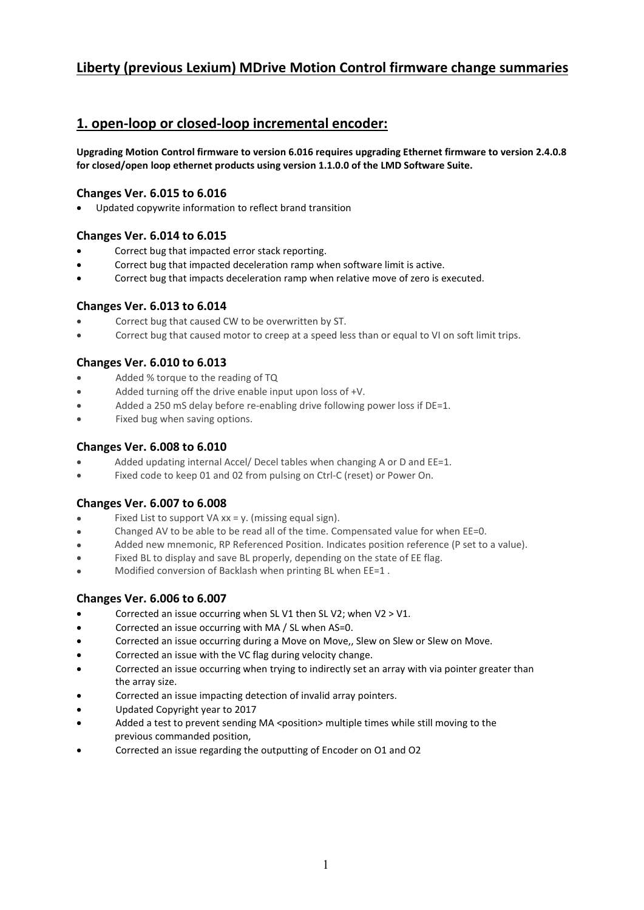# Liberty (previous Lexium) MDrive Motion Control firmware change summaries

# 1. open-loop or closed-loop incremental encoder:

Upgrading Motion Control firmware to version 6.016 requires upgrading Ethernet firmware to version 2.4.0.8 for closed/open loop ethernet products using version 1.1.0.0 of the LMD Software Suite.

#### Changes Ver. 6.015 to 6.016

Updated copywrite information to reflect brand transition

## Changes Ver. 6.014 to 6.015

- Correct bug that impacted error stack reporting.
- Correct bug that impacted deceleration ramp when software limit is active.
- Correct bug that impacts deceleration ramp when relative move of zero is executed.

#### Changes Ver. 6.013 to 6.014

- Correct bug that caused CW to be overwritten by ST.
- Correct bug that caused motor to creep at a speed less than or equal to VI on soft limit trips.

# Changes Ver. 6.010 to 6.013

- Added % torque to the reading of TQ
- Added turning off the drive enable input upon loss of +V.
- Added a 250 mS delay before re-enabling drive following power loss if DE=1.
- Fixed bug when saving options.

## Changes Ver. 6.008 to 6.010

- Added updating internal Accel/ Decel tables when changing A or D and EE=1.
- Fixed code to keep 01 and 02 from pulsing on Ctrl-C (reset) or Power On.

# Changes Ver. 6.007 to 6.008

- Fixed List to support VA  $xx = y$ . (missing equal sign).
- Changed AV to be able to be read all of the time. Compensated value for when EE=0.
- Added new mnemonic, RP Referenced Position. Indicates position reference (P set to a value).
- Fixed BL to display and save BL properly, depending on the state of EE flag.
- Modified conversion of Backlash when printing BL when EE=1 .

# Changes Ver. 6.006 to 6.007

- Corrected an issue occurring when SL V1 then SL V2; when V2 > V1.
- Corrected an issue occurring with MA / SL when AS=0.
- Corrected an issue occurring during a Move on Move,, Slew on Slew or Slew on Move.
- Corrected an issue with the VC flag during velocity change.
- Corrected an issue occurring when trying to indirectly set an array with via pointer greater than the array size.
- Corrected an issue impacting detection of invalid array pointers.
- Updated Copyright year to 2017
- Added a test to prevent sending MA <position> multiple times while still moving to the previous commanded position,
- Corrected an issue regarding the outputting of Encoder on O1 and O2